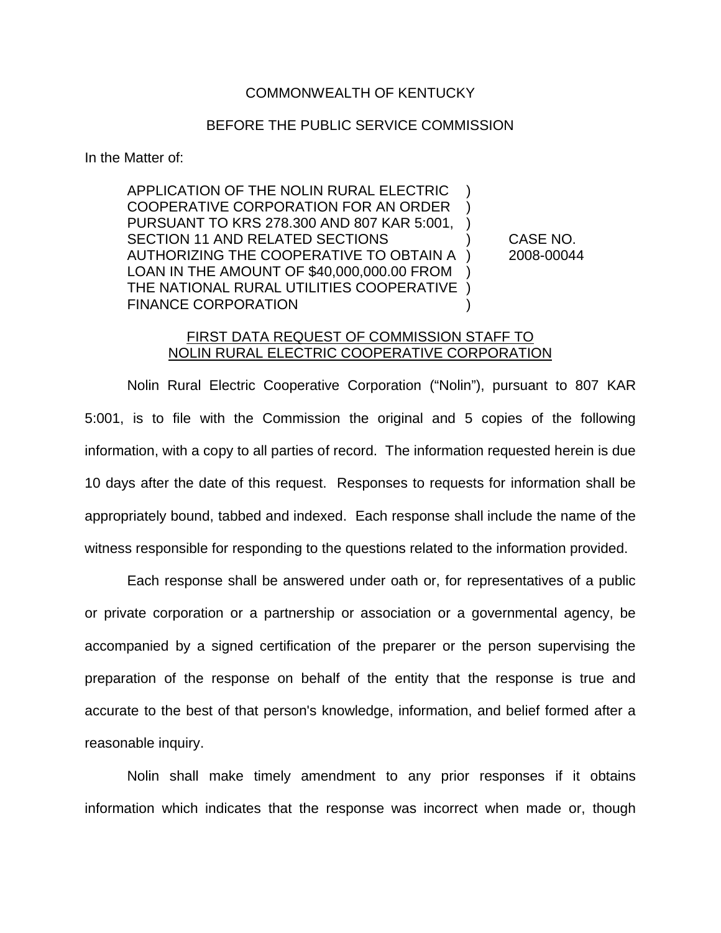## COMMONWEALTH OF KENTUCKY

## BEFORE THE PUBLIC SERVICE COMMISSION

In the Matter of:

APPLICATION OF THE NOLIN RURAL ELECTRIC ) COOPERATIVE CORPORATION FOR AN ORDER ) PURSUANT TO KRS 278.300 AND 807 KAR 5:001, ) SECTION 11 AND RELATED SECTIONS  $\qquad \qquad$  CASE NO. AUTHORIZING THE COOPERATIVE TO OBTAIN A ) 2008-00044 LOAN IN THE AMOUNT OF \$40,000,000.00 FROM ) THE NATIONAL RURAL UTILITIES COOPERATIVE ) FINANCE CORPORATION

## FIRST DATA REQUEST OF COMMISSION STAFF TO NOLIN RURAL ELECTRIC COOPERATIVE CORPORATION

Nolin Rural Electric Cooperative Corporation ("Nolin"), pursuant to 807 KAR 5:001, is to file with the Commission the original and 5 copies of the following information, with a copy to all parties of record. The information requested herein is due 10 days after the date of this request. Responses to requests for information shall be appropriately bound, tabbed and indexed. Each response shall include the name of the witness responsible for responding to the questions related to the information provided.

Each response shall be answered under oath or, for representatives of a public or private corporation or a partnership or association or a governmental agency, be accompanied by a signed certification of the preparer or the person supervising the preparation of the response on behalf of the entity that the response is true and accurate to the best of that person's knowledge, information, and belief formed after a reasonable inquiry.

Nolin shall make timely amendment to any prior responses if it obtains information which indicates that the response was incorrect when made or, though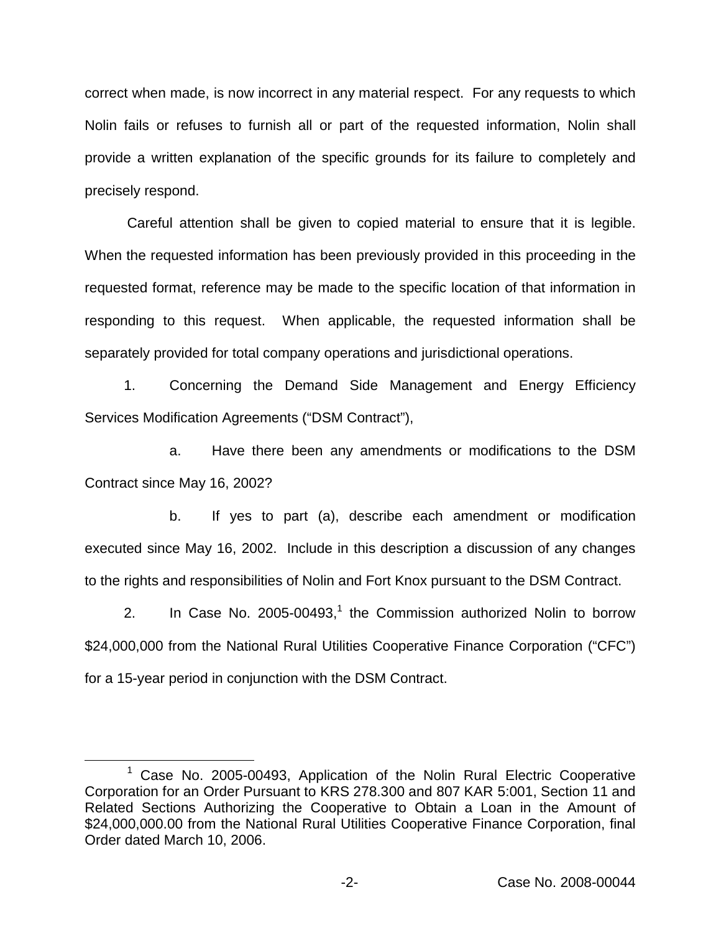correct when made, is now incorrect in any material respect. For any requests to which Nolin fails or refuses to furnish all or part of the requested information, Nolin shall provide a written explanation of the specific grounds for its failure to completely and precisely respond.

Careful attention shall be given to copied material to ensure that it is legible. When the requested information has been previously provided in this proceeding in the requested format, reference may be made to the specific location of that information in responding to this request. When applicable, the requested information shall be separately provided for total company operations and jurisdictional operations.

1. Concerning the Demand Side Management and Energy Efficiency Services Modification Agreements ("DSM Contract"),

a. Have there been any amendments or modifications to the DSM Contract since May 16, 2002?

b. If yes to part (a), describe each amendment or modification executed since May 16, 2002. Include in this description a discussion of any changes to the rights and responsibilities of Nolin and Fort Knox pursuant to the DSM Contract.

2. In Case No.  $2005-00493$ ,<sup>1</sup> the Commission authorized Nolin to borrow \$24,000,000 from the National Rural Utilities Cooperative Finance Corporation ("CFC") for a 15-year period in conjunction with the DSM Contract.

<sup>&</sup>lt;sup>1</sup> Case No. 2005-00493, Application of the Nolin Rural Electric Cooperative Corporation for an Order Pursuant to KRS 278.300 and 807 KAR 5:001, Section 11 and Related Sections Authorizing the Cooperative to Obtain a Loan in the Amount of \$24,000,000.00 from the National Rural Utilities Cooperative Finance Corporation, final Order dated March 10, 2006.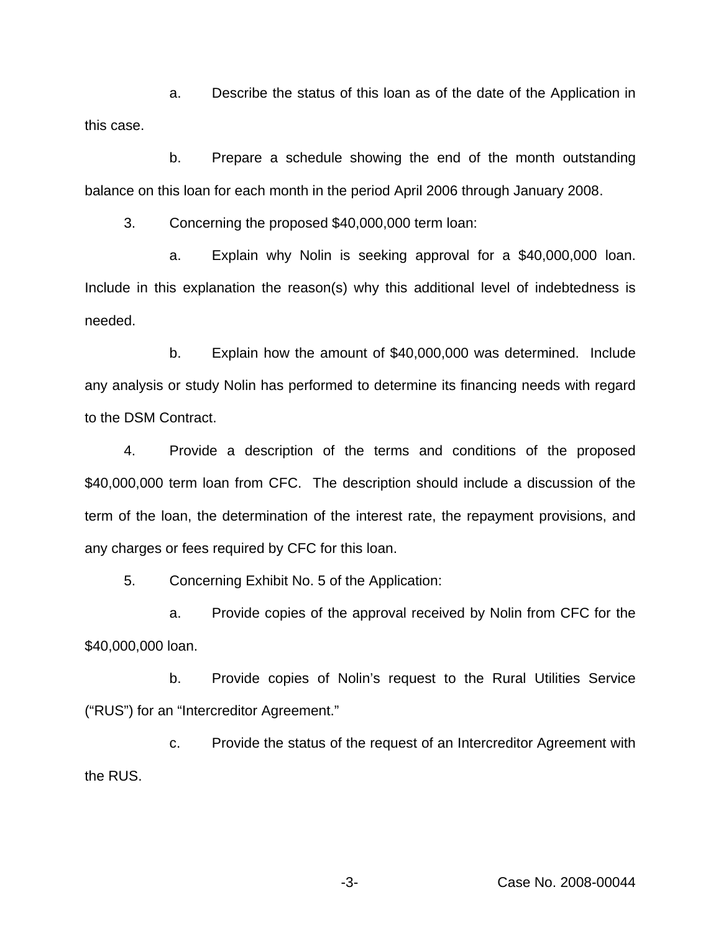a. Describe the status of this loan as of the date of the Application in this case.

b. Prepare a schedule showing the end of the month outstanding balance on this loan for each month in the period April 2006 through January 2008.

3. Concerning the proposed \$40,000,000 term loan:

a. Explain why Nolin is seeking approval for a \$40,000,000 loan. Include in this explanation the reason(s) why this additional level of indebtedness is needed.

b. Explain how the amount of \$40,000,000 was determined. Include any analysis or study Nolin has performed to determine its financing needs with regard to the DSM Contract.

4. Provide a description of the terms and conditions of the proposed \$40,000,000 term loan from CFC. The description should include a discussion of the term of the loan, the determination of the interest rate, the repayment provisions, and any charges or fees required by CFC for this loan.

5. Concerning Exhibit No. 5 of the Application:

a. Provide copies of the approval received by Nolin from CFC for the \$40,000,000 loan.

b. Provide copies of Nolin's request to the Rural Utilities Service ("RUS") for an "Intercreditor Agreement."

c. Provide the status of the request of an Intercreditor Agreement with the RUS.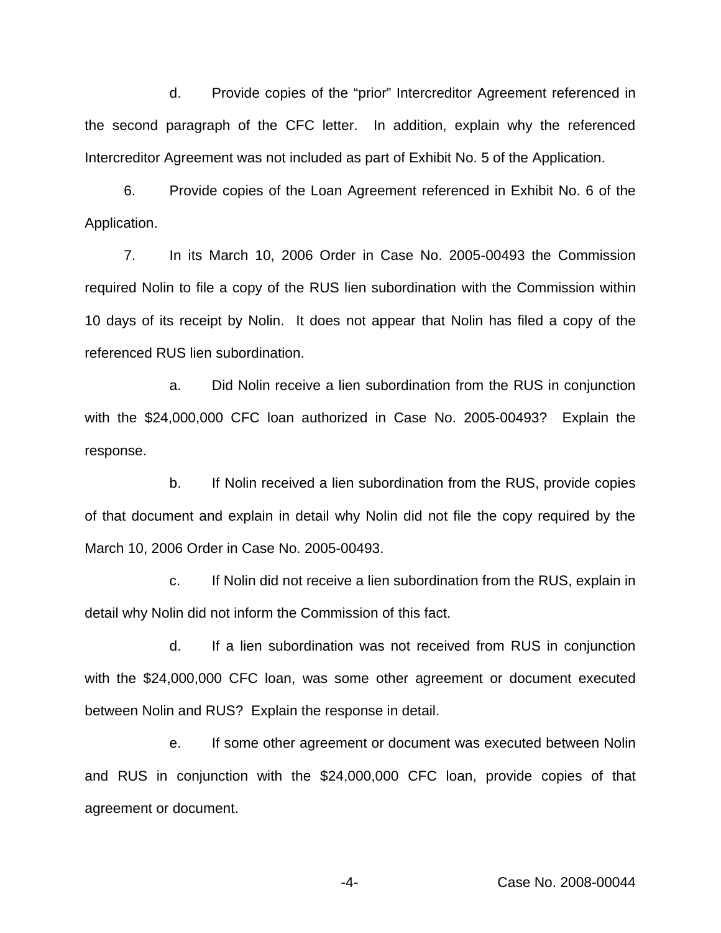d. Provide copies of the "prior" Intercreditor Agreement referenced in the second paragraph of the CFC letter. In addition, explain why the referenced Intercreditor Agreement was not included as part of Exhibit No. 5 of the Application.

6. Provide copies of the Loan Agreement referenced in Exhibit No. 6 of the Application.

7. In its March 10, 2006 Order in Case No. 2005-00493 the Commission required Nolin to file a copy of the RUS lien subordination with the Commission within 10 days of its receipt by Nolin. It does not appear that Nolin has filed a copy of the referenced RUS lien subordination.

a. Did Nolin receive a lien subordination from the RUS in conjunction with the \$24,000,000 CFC loan authorized in Case No. 2005-00493? Explain the response.

b. If Nolin received a lien subordination from the RUS, provide copies of that document and explain in detail why Nolin did not file the copy required by the March 10, 2006 Order in Case No. 2005-00493.

c. If Nolin did not receive a lien subordination from the RUS, explain in detail why Nolin did not inform the Commission of this fact.

d. If a lien subordination was not received from RUS in conjunction with the \$24,000,000 CFC loan, was some other agreement or document executed between Nolin and RUS? Explain the response in detail.

e. If some other agreement or document was executed between Nolin and RUS in conjunction with the \$24,000,000 CFC loan, provide copies of that agreement or document.